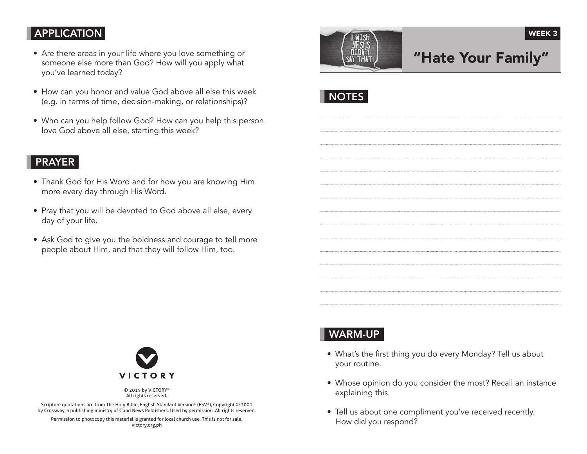#### APPLICATION

- Are there areas in your life where you love something or someone else more than God? How will you apply what you've learned today?
- How can you honor and value God above all else this week (e.g. in terms of time, decision-making, or relationships)?
- Who can you help follow God? How can you help this person love God above all else, starting this week?

#### PRAYER

- Thank God for His Word and for how you are knowing Him more every day through His Word.
- Pray that you will be devoted to God above all else, every day of your life.
- Ask God to give you the boldness and courage to tell more people about Him, and that they will follow Him, too.



# "Hate Your Family"

WEEK<sub>3</sub>

**NOTES** 



© 2015 by VICTORY® All rights reserved.

Scripture quotations are from The Holy Bible, English Standard Version® (ESV®), Copyright © 2001 by Crossway, a publishing ministry of Good News Publishers. Used by permission. All rights reserved.

Permission to photocopy this material is granted for local church use. This is not for sale. victory.org.ph

## WARM-UP

- What's the first thing you do every Monday? Tell us about your routine.
- Whose opinion do you consider the most? Recall an instance explaining this.
- Tell us about one compliment you've received recently. How did you respond?